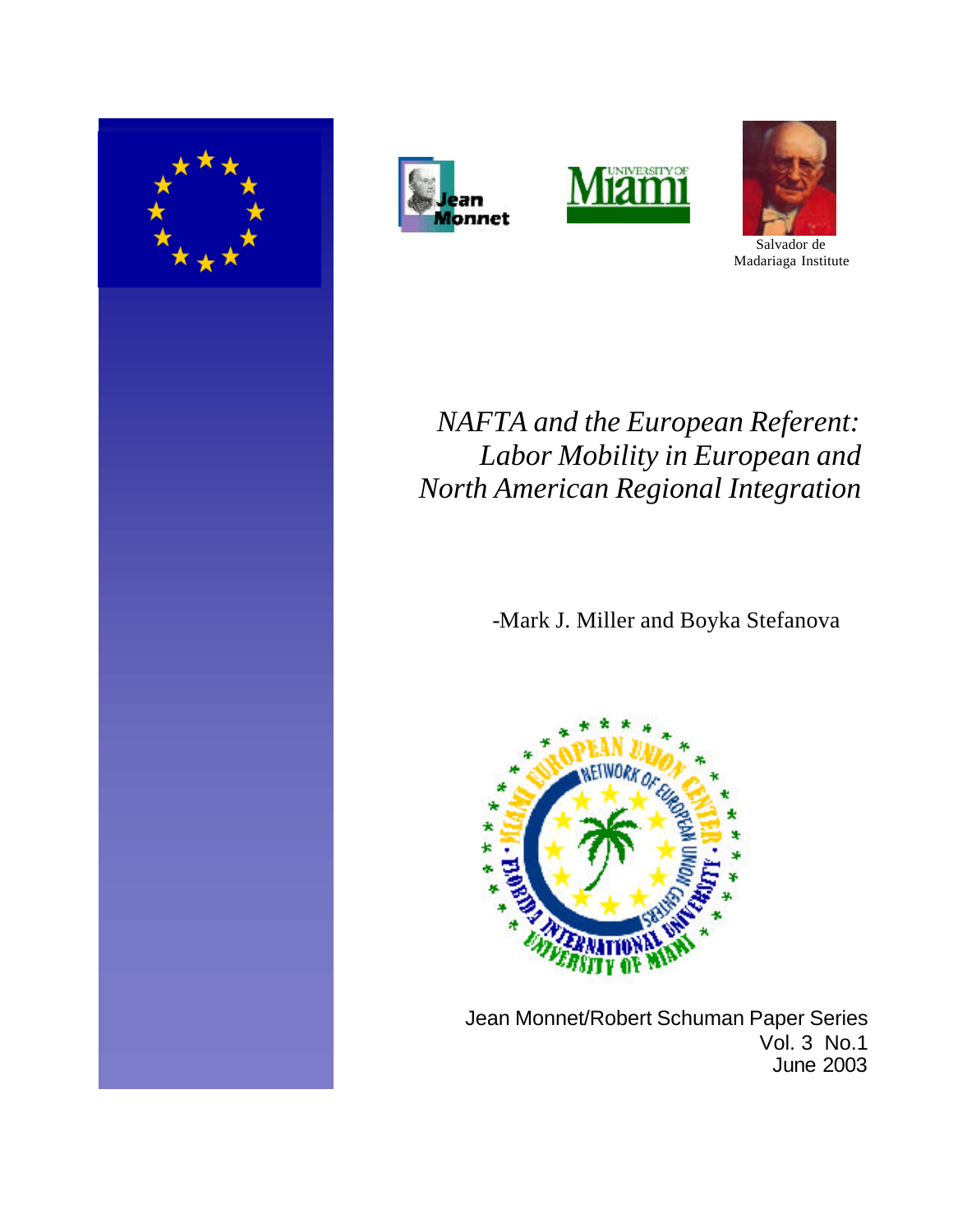







Salvador de Madariaga Institute

# *NAFTA and the European Referent: Labor Mobility in European and North American Regional Integration*

-Mark J. Miller and Boyka Stefanova



 Jean Monnet/Robert Schuman Paper Series Vol. 3 No.1 June 2003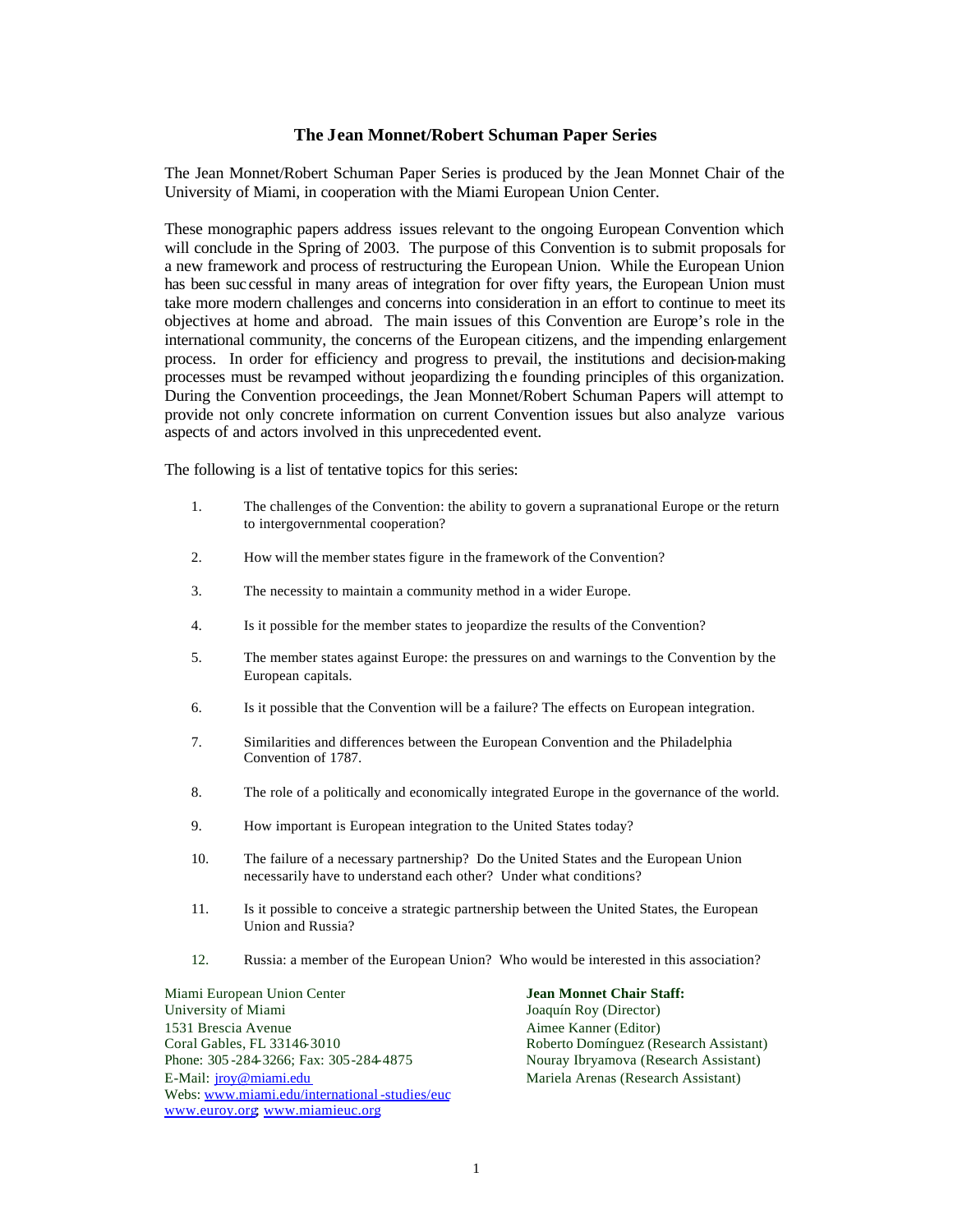#### **The Jean Monnet/Robert Schuman Paper Series**

The Jean Monnet/Robert Schuman Paper Series is produced by the Jean Monnet Chair of the University of Miami, in cooperation with the Miami European Union Center.

These monographic papers address issues relevant to the ongoing European Convention which will conclude in the Spring of 2003. The purpose of this Convention is to submit proposals for a new framework and process of restructuring the European Union. While the European Union has been suc cessful in many areas of integration for over fifty years, the European Union must take more modern challenges and concerns into consideration in an effort to continue to meet its objectives at home and abroad. The main issues of this Convention are Europe's role in the international community, the concerns of the European citizens, and the impending enlargement process. In order for efficiency and progress to prevail, the institutions and decision-making processes must be revamped without jeopardizing th e founding principles of this organization. During the Convention proceedings, the Jean Monnet/Robert Schuman Papers will attempt to provide not only concrete information on current Convention issues but also analyze various aspects of and actors involved in this unprecedented event.

The following is a list of tentative topics for this series:

- 1. The challenges of the Convention: the ability to govern a supranational Europe or the return to intergovernmental cooperation?
- 2. How will the member states figure in the framework of the Convention?
- 3. The necessity to maintain a community method in a wider Europe.
- 4. Is it possible for the member states to jeopardize the results of the Convention?
- 5. The member states against Europe: the pressures on and warnings to the Convention by the European capitals.
- 6. Is it possible that the Convention will be a failure? The effects on European integration.
- 7. Similarities and differences between the European Convention and the Philadelphia Convention of 1787.
- 8. The role of a politically and economically integrated Europe in the governance of the world.
- 9. How important is European integration to the United States today?
- 10. The failure of a necessary partnership? Do the United States and the European Union necessarily have to understand each other? Under what conditions?
- 11. Is it possible to conceive a strategic partnership between the United States, the European Union and Russia?
- 12. Russia: a member of the European Union? Who would be interested in this association?

Miami European Union Center **Jean Monnet Chair Staff:** University of Miami Joaquín Roy (Director) 1531 Brescia Avenue Aimee Kanner (Editor) Coral Gables, FL 33146-3010 Roberto Domínguez (Research Assistant) Phone: 305 -284 3266; Fax: 305 -284 4875 Nouray Ibryamova (Research Assistant)<br>E-Mail: irov@miami.edu Mariela Arenas (Research Assistant) Webs: www.miami.edu/international -studies/euc www.euroy.org; www.miamieuc.org

Mariela Arenas (Research Assistant)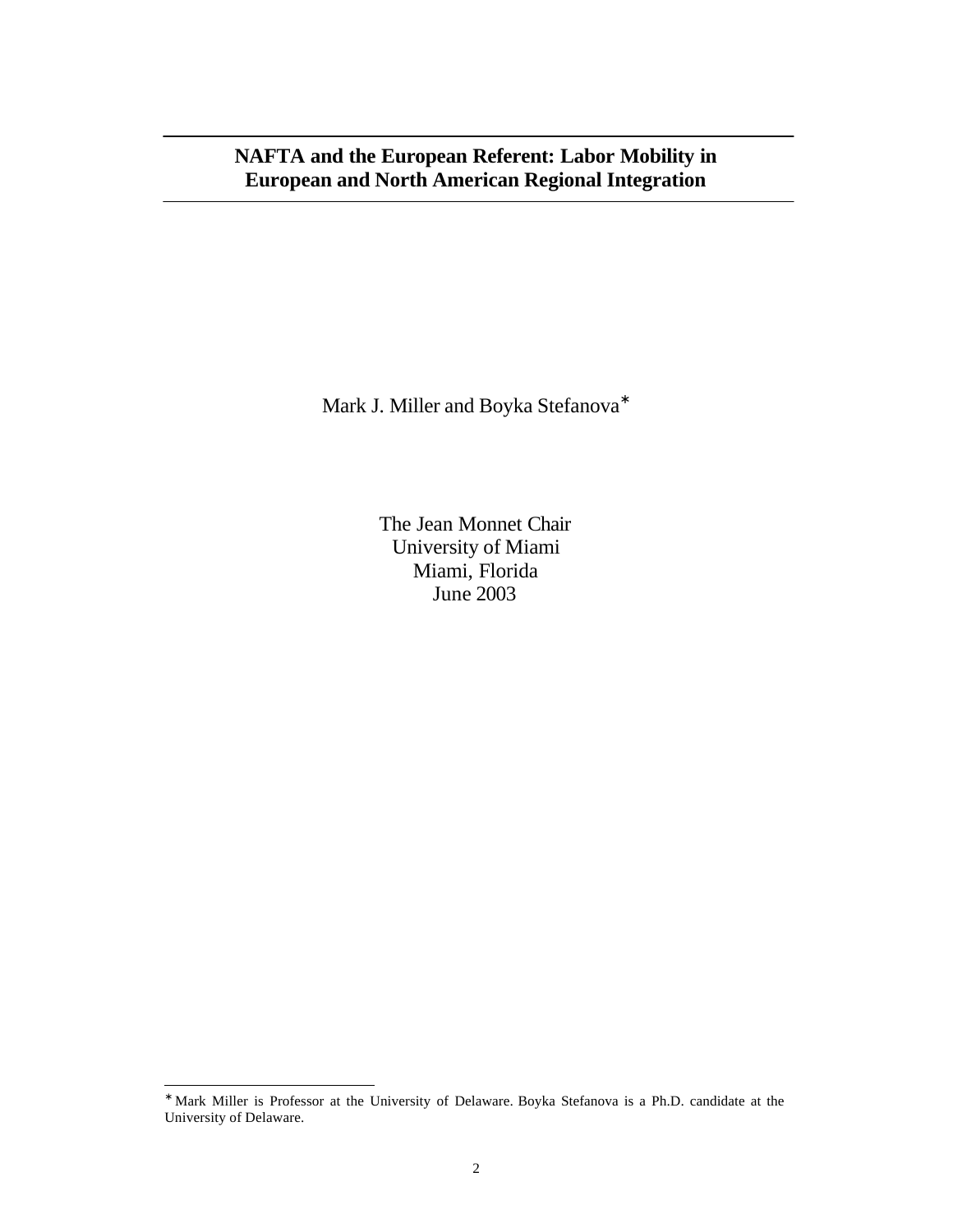Mark J. Miller and Boyka Stefanova<sup>\*</sup>

The Jean Monnet Chair University of Miami Miami, Florida June 2003

<sup>∗</sup> Mark Miller is Professor at the University of Delaware. Boyka Stefanova is a Ph.D. candidate at the University of Delaware.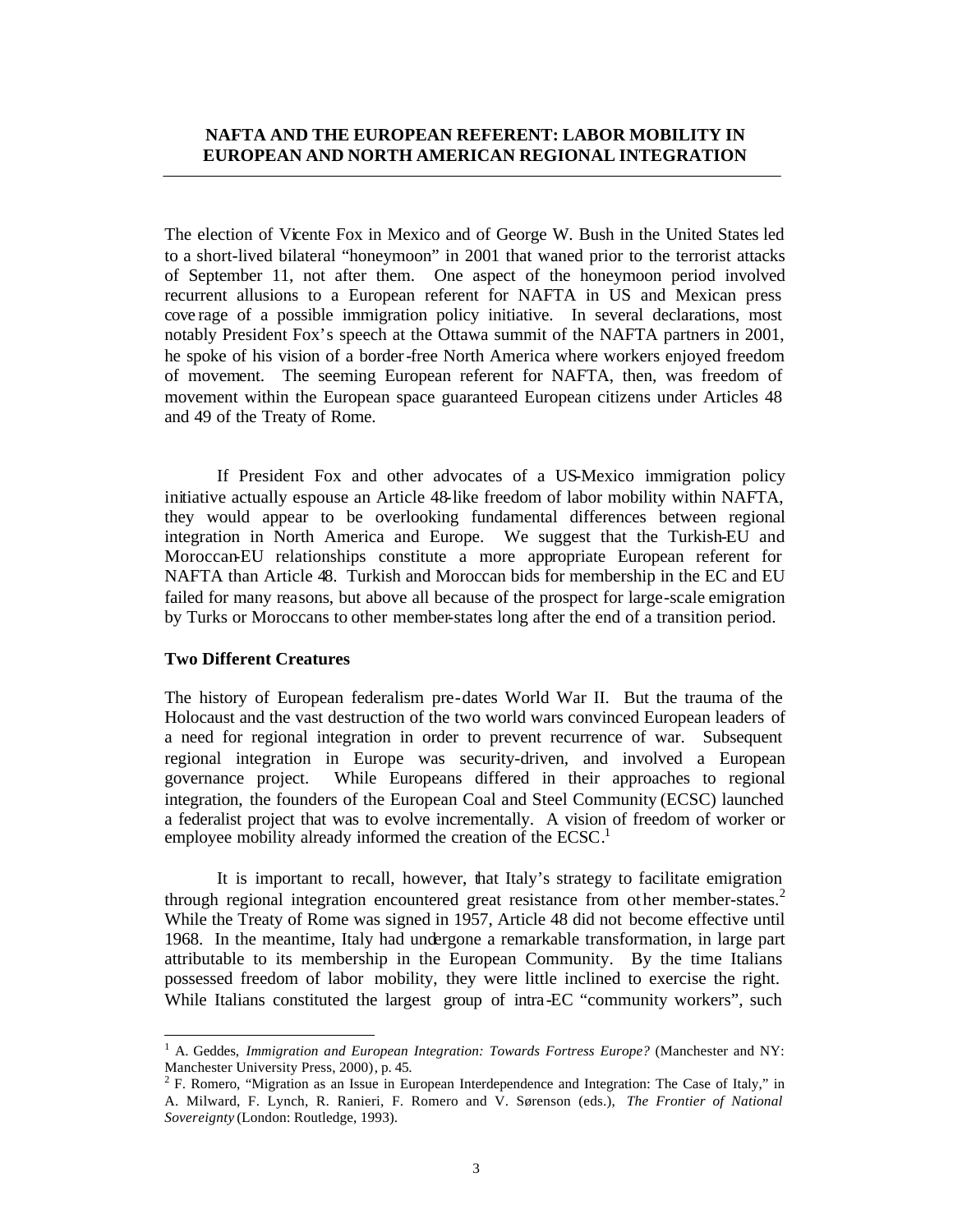The election of Vicente Fox in Mexico and of George W. Bush in the United States led to a short-lived bilateral "honeymoon" in 2001 that waned prior to the terrorist attacks of September 11, not after them. One aspect of the honeymoon period involved recurrent allusions to a European referent for NAFTA in US and Mexican press cove rage of a possible immigration policy initiative. In several declarations, most notably President Fox's speech at the Ottawa summit of the NAFTA partners in 2001, he spoke of his vision of a border-free North America where workers enjoyed freedom of movement. The seeming European referent for NAFTA, then, was freedom of movement within the European space guaranteed European citizens under Articles 48 and 49 of the Treaty of Rome.

If President Fox and other advocates of a US-Mexico immigration policy initiative actually espouse an Article 48-like freedom of labor mobility within NAFTA, they would appear to be overlooking fundamental differences between regional integration in North America and Europe. We suggest that the Turkish-EU and Moroccan-EU relationships constitute a more appropriate European referent for NAFTA than Article 48. Turkish and Moroccan bids for membership in the EC and EU failed for many reasons, but above all because of the prospect for large-scale emigration by Turks or Moroccans to other member-states long after the end of a transition period.

## **Two Different Creatures**

l

The history of European federalism pre-dates World War II. But the trauma of the Holocaust and the vast destruction of the two world wars convinced European leaders of a need for regional integration in order to prevent recurrence of war. Subsequent regional integration in Europe was security-driven, and involved a European governance project. While Europeans differed in their approaches to regional integration, the founders of the European Coal and Steel Community (ECSC) launched a federalist project that was to evolve incrementally. A vision of freedom of worker or employee mobility already informed the creation of the ECSC.<sup>1</sup>

It is important to recall, however, that Italy's strategy to facilitate emigration through regional integration encountered great resistance from ot her member-states. 2 While the Treaty of Rome was signed in 1957, Article 48 did not become effective until 1968. In the meantime, Italy had undergone a remarkable transformation, in large part attributable to its membership in the European Community. By the time Italians possessed freedom of labor mobility, they were little inclined to exercise the right. While Italians constituted the largest group of intra-EC "community workers", such

<sup>1</sup> A. Geddes, *Immigration and European Integration: Towards Fortress Europe?* (Manchester and NY: Manchester University Press, 2000), p. 45.

<sup>&</sup>lt;sup>2</sup> F. Romero, "Migration as an Issue in European Interdependence and Integration: The Case of Italy," in A. Milward, F. Lynch, R. Ranieri, F. Romero and V. Sørenson (eds.), *The Frontier of National Sovereignty* (London: Routledge, 1993).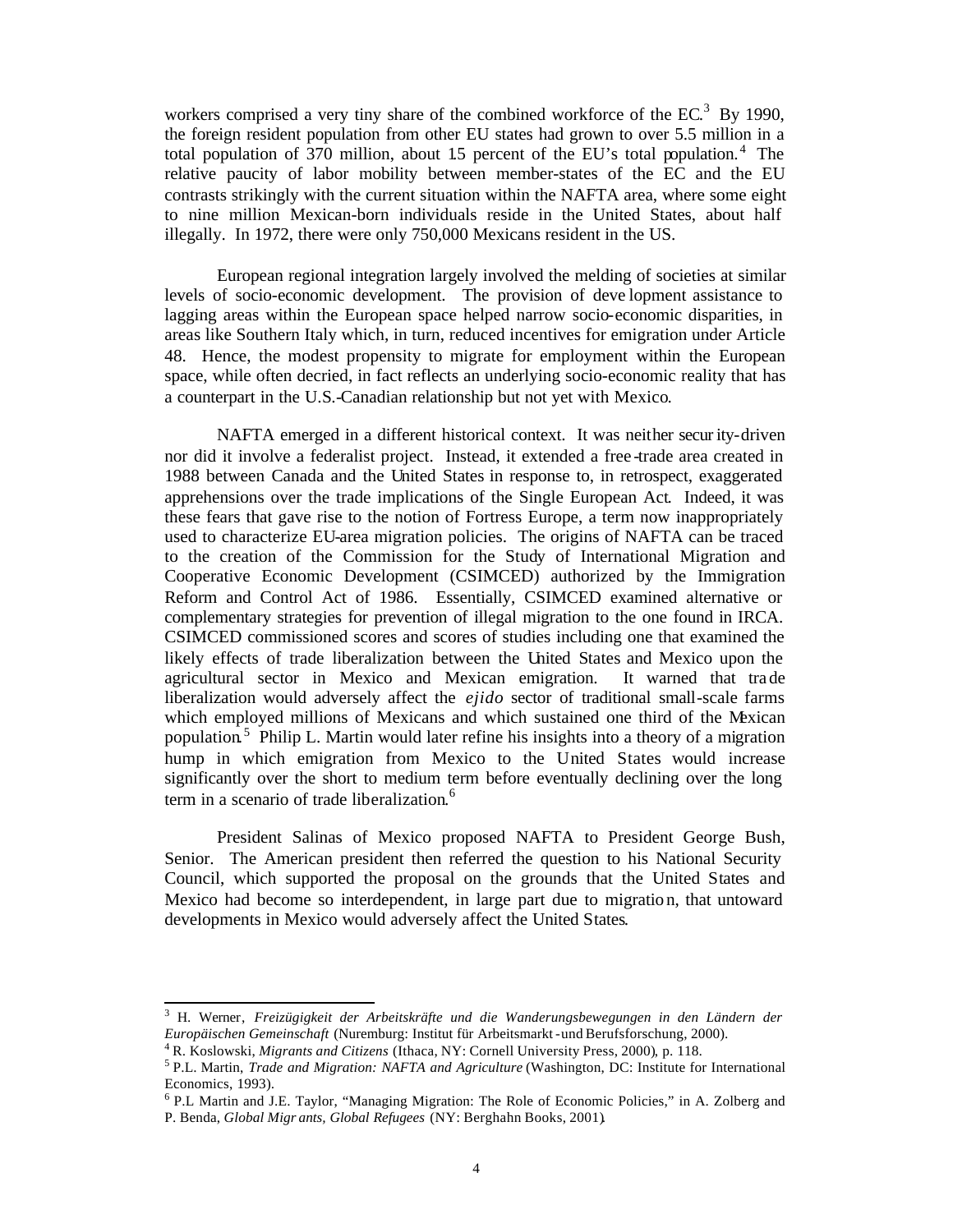workers comprised a very tiny share of the combined workforce of the  $EC^3$  By 1990, the foreign resident population from other EU states had grown to over 5.5 million in a total population of  $370$  million, about 1.5 percent of the EU's total population.<sup>4</sup> The relative paucity of labor mobility between member-states of the EC and the EU contrasts strikingly with the current situation within the NAFTA area, where some eight to nine million Mexican-born individuals reside in the United States, about half illegally. In 1972, there were only 750,000 Mexicans resident in the US.

European regional integration largely involved the melding of societies at similar levels of socio-economic development. The provision of deve lopment assistance to lagging areas within the European space helped narrow socio-economic disparities, in areas like Southern Italy which, in turn, reduced incentives for emigration under Article 48. Hence, the modest propensity to migrate for employment within the European space, while often decried, in fact reflects an underlying socio-economic reality that has a counterpart in the U.S.-Canadian relationship but not yet with Mexico.

NAFTA emerged in a different historical context. It was neither secur ity-driven nor did it involve a federalist project. Instead, it extended a free -trade area created in 1988 between Canada and the United States in response to, in retrospect, exaggerated apprehensions over the trade implications of the Single European Act. Indeed, it was these fears that gave rise to the notion of Fortress Europe, a term now inappropriately used to characterize EU-area migration policies. The origins of NAFTA can be traced to the creation of the Commission for the Study of International Migration and Cooperative Economic Development (CSIMCED) authorized by the Immigration Reform and Control Act of 1986. Essentially, CSIMCED examined alternative or complementary strategies for prevention of illegal migration to the one found in IRCA. CSIMCED commissioned scores and scores of studies including one that examined the likely effects of trade liberalization between the United States and Mexico upon the agricultural sector in Mexico and Mexican emigration. It warned that tra de liberalization would adversely affect the *ejido* sector of traditional small-scale farms which employed millions of Mexicans and which sustained one third of the Mexican population<sup>5</sup> Philip L. Martin would later refine his insights into a theory of a migration hump in which emigration from Mexico to the United States would increase significantly over the short to medium term before eventually declining over the long term in a scenario of trade liberalization. 6

President Salinas of Mexico proposed NAFTA to President George Bush, Senior. The American president then referred the question to his National Security Council, which supported the proposal on the grounds that the United States and Mexico had become so interdependent, in large part due to migratio n, that untoward developments in Mexico would adversely affect the United States.

3 H. Werner, *Freizügigkeit der Arbeitskräfte und die Wanderungsbewegungen in den Ländern der Europäischen Gemeinschaft* (Nuremburg: Institut für Arbeitsmarkt -und Berufsforschung, 2000).

<sup>4</sup> R. Koslowski, *Migrants and Citizens* (Ithaca, NY: Cornell University Press, 2000), p. 118.

<sup>5</sup> P.L. Martin, *Trade and Migration: NAFTA and Agriculture* (Washington, DC: Institute for International Economics, 1993).

<sup>&</sup>lt;sup>6</sup> P.L Martin and J.E. Taylor, "Managing Migration: The Role of Economic Policies," in A. Zolberg and P. Benda, *Global Migr ants, Global Refugees* (NY: Berghahn Books, 2001).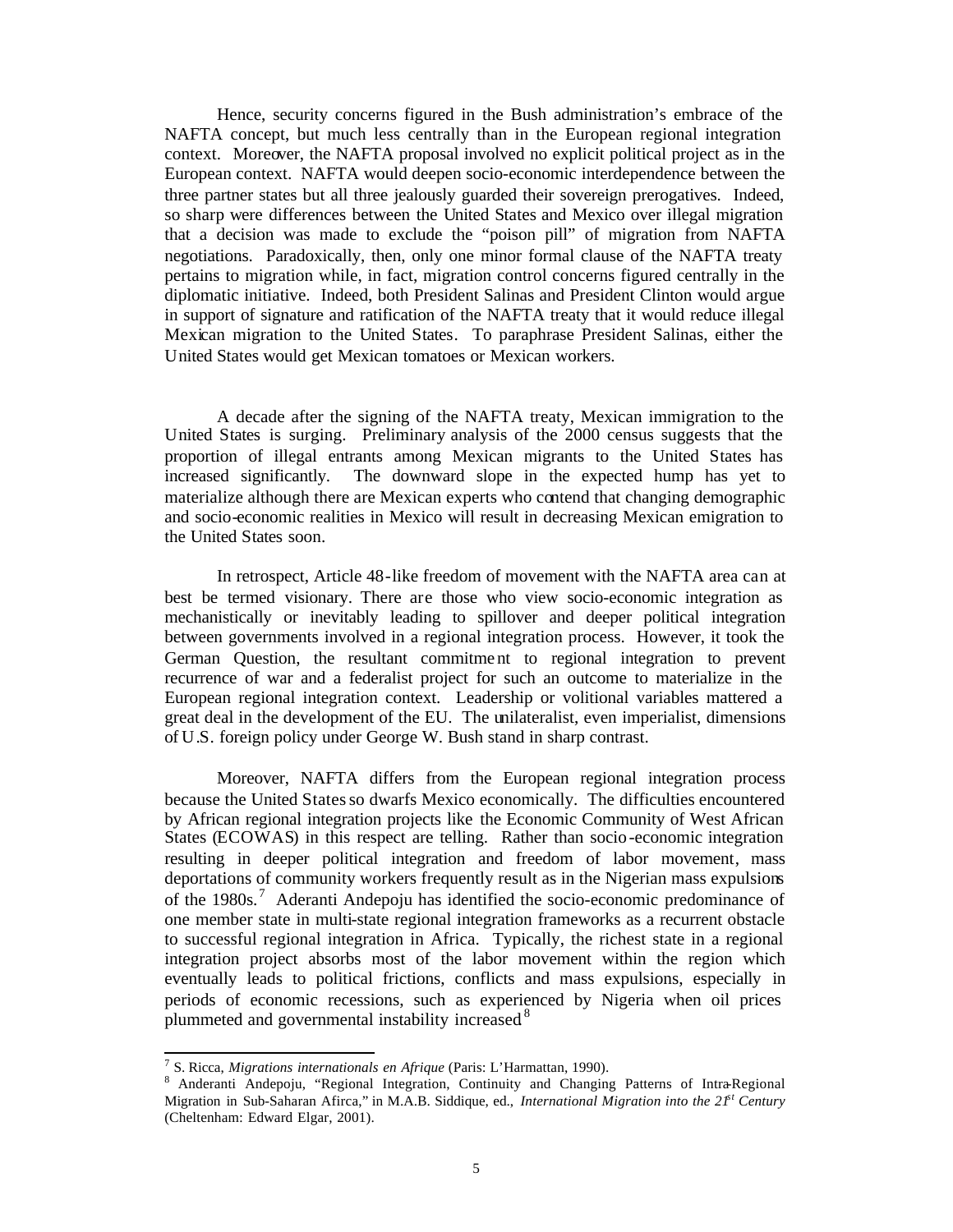Hence, security concerns figured in the Bush administration's embrace of the NAFTA concept, but much less centrally than in the European regional integration context. Moreover, the NAFTA proposal involved no explicit political project as in the European context. NAFTA would deepen socio-economic interdependence between the three partner states but all three jealously guarded their sovereign prerogatives. Indeed, so sharp were differences between the United States and Mexico over illegal migration that a decision was made to exclude the "poison pill" of migration from NAFTA negotiations. Paradoxically, then, only one minor formal clause of the NAFTA treaty pertains to migration while, in fact, migration control concerns figured centrally in the diplomatic initiative. Indeed, both President Salinas and President Clinton would argue in support of signature and ratification of the NAFTA treaty that it would reduce illegal Mexican migration to the United States. To paraphrase President Salinas, either the United States would get Mexican tomatoes or Mexican workers.

A decade after the signing of the NAFTA treaty, Mexican immigration to the United States is surging. Preliminary analysis of the 2000 census suggests that the proportion of illegal entrants among Mexican migrants to the United States has increased significantly. The downward slope in the expected hump has yet to materialize although there are Mexican experts who contend that changing demographic and socio-economic realities in Mexico will result in decreasing Mexican emigration to the United States soon.

In retrospect, Article 48-like freedom of movement with the NAFTA area can at best be termed visionary. There are those who view socio-economic integration as mechanistically or inevitably leading to spillover and deeper political integration between governments involved in a regional integration process. However, it took the German Question, the resultant commitme nt to regional integration to prevent recurrence of war and a federalist project for such an outcome to materialize in the European regional integration context. Leadership or volitional variables mattered a great deal in the development of the EU. The unilateralist, even imperialist, dimensions of U.S. foreign policy under George W. Bush stand in sharp contrast.

Moreover, NAFTA differs from the European regional integration process because the United States so dwarfs Mexico economically. The difficulties encountered by African regional integration projects like the Economic Community of West African States (ECOWAS) in this respect are telling. Rather than socio -economic integration resulting in deeper political integration and freedom of labor movement, mass deportations of community workers frequently result as in the Nigerian mass expulsions of the 1980s. 7 Aderanti Andepoju has identified the socio-economic predominance of one member state in multi-state regional integration frameworks as a recurrent obstacle to successful regional integration in Africa. Typically, the richest state in a regional integration project absorbs most of the labor movement within the region which eventually leads to political frictions, conflicts and mass expulsions, especially in periods of economic recessions, such as experienced by Nigeria when oil prices plummeted and governmental instability increased<sup>8</sup>

<sup>7</sup> S. Ricca, *Migrations internationals en Afrique* (Paris: L'Harmattan, 1990).

<sup>8</sup> Anderanti Andepoju, "Regional Integration, Continuity and Changing Patterns of Intra-Regional Migration in Sub-Saharan Afirca," in M.A.B. Siddique, ed., *International Migration into the 21st Century*  (Cheltenham: Edward Elgar, 2001).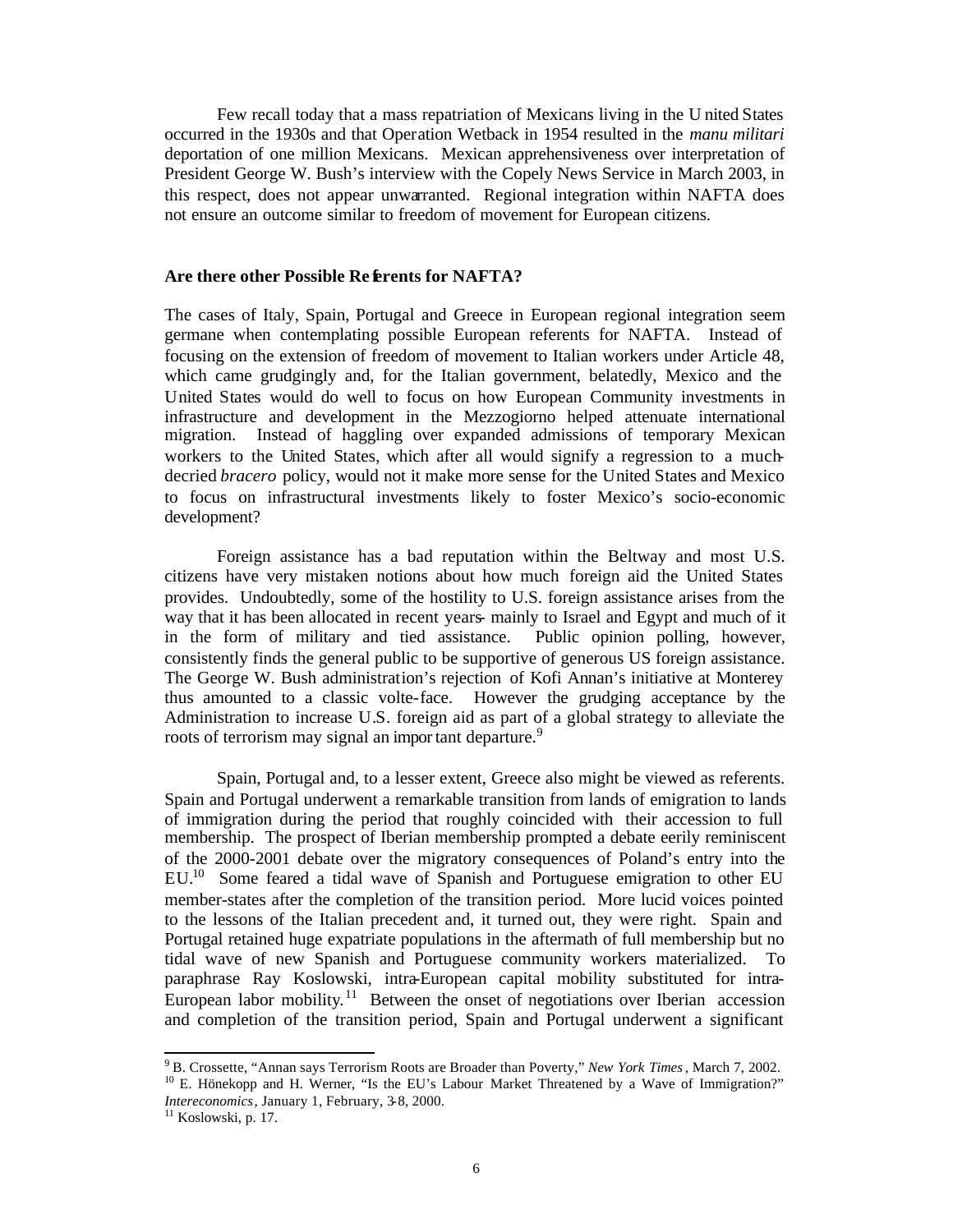Few recall today that a mass repatriation of Mexicans living in the U nited States occurred in the 1930s and that Operation Wetback in 1954 resulted in the *manu militari* deportation of one million Mexicans. Mexican apprehensiveness over interpretation of President George W. Bush's interview with the Copely News Service in March 2003, in this respect, does not appear unwarranted. Regional integration within NAFTA does not ensure an outcome similar to freedom of movement for European citizens.

## **Are there other Possible Re ferents for NAFTA?**

The cases of Italy, Spain, Portugal and Greece in European regional integration seem germane when contemplating possible European referents for NAFTA. Instead of focusing on the extension of freedom of movement to Italian workers under Article 48, which came grudgingly and, for the Italian government, belatedly, Mexico and the United States would do well to focus on how European Community investments in infrastructure and development in the Mezzogiorno helped attenuate international migration. Instead of haggling over expanded admissions of temporary Mexican workers to the United States, which after all would signify a regression to a muchdecried *bracero* policy, would not it make more sense for the United States and Mexico to focus on infrastructural investments likely to foster Mexico's socio-economic development?

Foreign assistance has a bad reputation within the Beltway and most U.S. citizens have very mistaken notions about how much foreign aid the United States provides. Undoubtedly, some of the hostility to U.S. foreign assistance arises from the way that it has been allocated in recent years- mainly to Israel and Egypt and much of it in the form of military and tied assistance. Public opinion polling, however, consistently finds the general public to be supportive of generous US foreign assistance. The George W. Bush administration's rejection of Kofi Annan's initiative at Monterey thus amounted to a classic volte-face. However the grudging acceptance by the Administration to increase U.S. foreign aid as part of a global strategy to alleviate the roots of terrorism may signal an important departure.<sup>9</sup>

Spain, Portugal and, to a lesser extent, Greece also might be viewed as referents. Spain and Portugal underwent a remarkable transition from lands of emigration to lands of immigration during the period that roughly coincided with their accession to full membership. The prospect of Iberian membership prompted a debate eerily reminiscent of the 2000-2001 debate over the migratory consequences of Poland's entry into the EU. <sup>10</sup> Some feared a tidal wave of Spanish and Portuguese emigration to other EU member-states after the completion of the transition period. More lucid voices pointed to the lessons of the Italian precedent and, it turned out, they were right. Spain and Portugal retained huge expatriate populations in the aftermath of full membership but no tidal wave of new Spanish and Portuguese community workers materialized. To paraphrase Ray Koslowski, intra-European capital mobility substituted for intra-European labor mobility.<sup>11</sup> Between the onset of negotiations over Iberian accession and completion of the transition period, Spain and Portugal underwent a significant

 9 B. Crossette, "Annan says Terrorism Roots are Broader than Poverty," *New York Times*, March 7, 2002. <sup>10</sup> E. Hönekopp and H. Werner, "Is the EU's Labour Market Threatened by a Wave of Immigration?"

*Intereconomics*, January 1, February, 3-8, 2000.

 $\frac{11}{11}$  Koslowski, p. 17.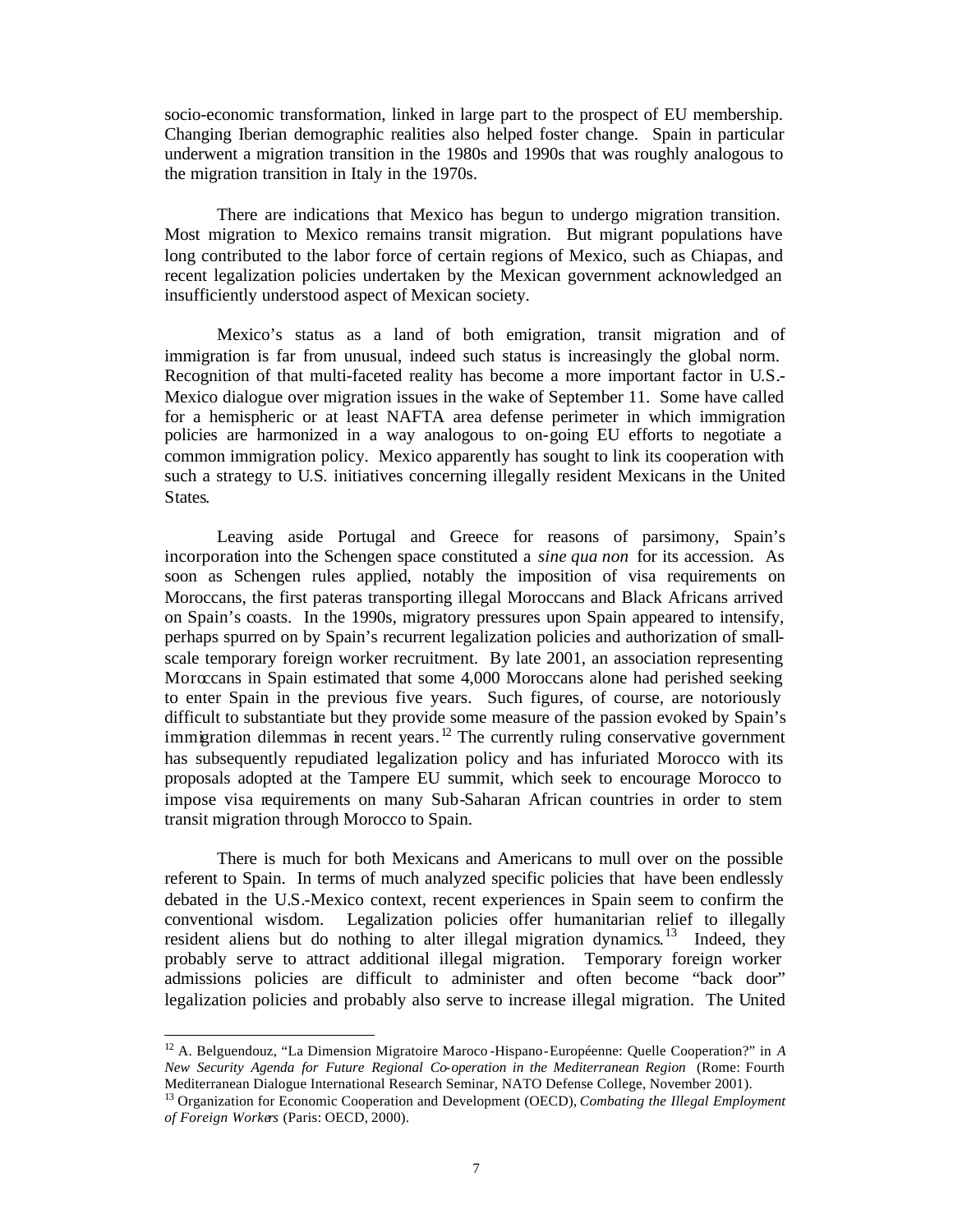socio-economic transformation, linked in large part to the prospect of EU membership. Changing Iberian demographic realities also helped foster change. Spain in particular underwent a migration transition in the 1980s and 1990s that was roughly analogous to the migration transition in Italy in the 1970s.

There are indications that Mexico has begun to undergo migration transition. Most migration to Mexico remains transit migration. But migrant populations have long contributed to the labor force of certain regions of Mexico, such as Chiapas, and recent legalization policies undertaken by the Mexican government acknowledged an insufficiently understood aspect of Mexican society.

Mexico's status as a land of both emigration, transit migration and of immigration is far from unusual, indeed such status is increasingly the global norm. Recognition of that multi-faceted reality has become a more important factor in U.S.- Mexico dialogue over migration issues in the wake of September 11. Some have called for a hemispheric or at least NAFTA area defense perimeter in which immigration policies are harmonized in a way analogous to on-going EU efforts to negotiate a common immigration policy. Mexico apparently has sought to link its cooperation with such a strategy to U.S. initiatives concerning illegally resident Mexicans in the United States.

Leaving aside Portugal and Greece for reasons of parsimony, Spain's incorporation into the Schengen space constituted a *sine qua non* for its accession. As soon as Schengen rules applied, notably the imposition of visa requirements on Moroccans, the first pateras transporting illegal Moroccans and Black Africans arrived on Spain's coasts. In the 1990s, migratory pressures upon Spain appeared to intensify, perhaps spurred on by Spain's recurrent legalization policies and authorization of smallscale temporary foreign worker recruitment. By late 2001, an association representing Moroccans in Spain estimated that some 4,000 Moroccans alone had perished seeking to enter Spain in the previous five years. Such figures, of course, are notoriously difficult to substantiate but they provide some measure of the passion evoked by Spain's immigration dilemmas in recent years.<sup>12</sup> The currently ruling conservative government has subsequently repudiated legalization policy and has infuriated Morocco with its proposals adopted at the Tampere EU summit, which seek to encourage Morocco to impose visa requirements on many Sub-Saharan African countries in order to stem transit migration through Morocco to Spain.

There is much for both Mexicans and Americans to mull over on the possible referent to Spain. In terms of much analyzed specific policies that have been endlessly debated in the U.S.-Mexico context, recent experiences in Spain seem to confirm the conventional wisdom. Legalization policies offer humanitarian relief to illegally resident aliens but do nothing to alter illegal migration dynamics.<sup>13</sup> Indeed, they probably serve to attract additional illegal migration. Temporary foreign worker admissions policies are difficult to administer and often become "back door" legalization policies and probably also serve to increase illegal migration. The United

<sup>12</sup> A. Belguendouz, "La Dimension Migratoire Maroco -Hispano-Européenne: Quelle Cooperation?" in *A New Security Agenda for Future Regional Co-operation in the Mediterranean Region* (Rome: Fourth Mediterranean Dialogue International Research Seminar, NATO Defense College, November 2001).

<sup>13</sup> Organization for Economic Cooperation and Development (OECD), *Combating the Illegal Employment of Foreign Workers* (Paris: OECD, 2000).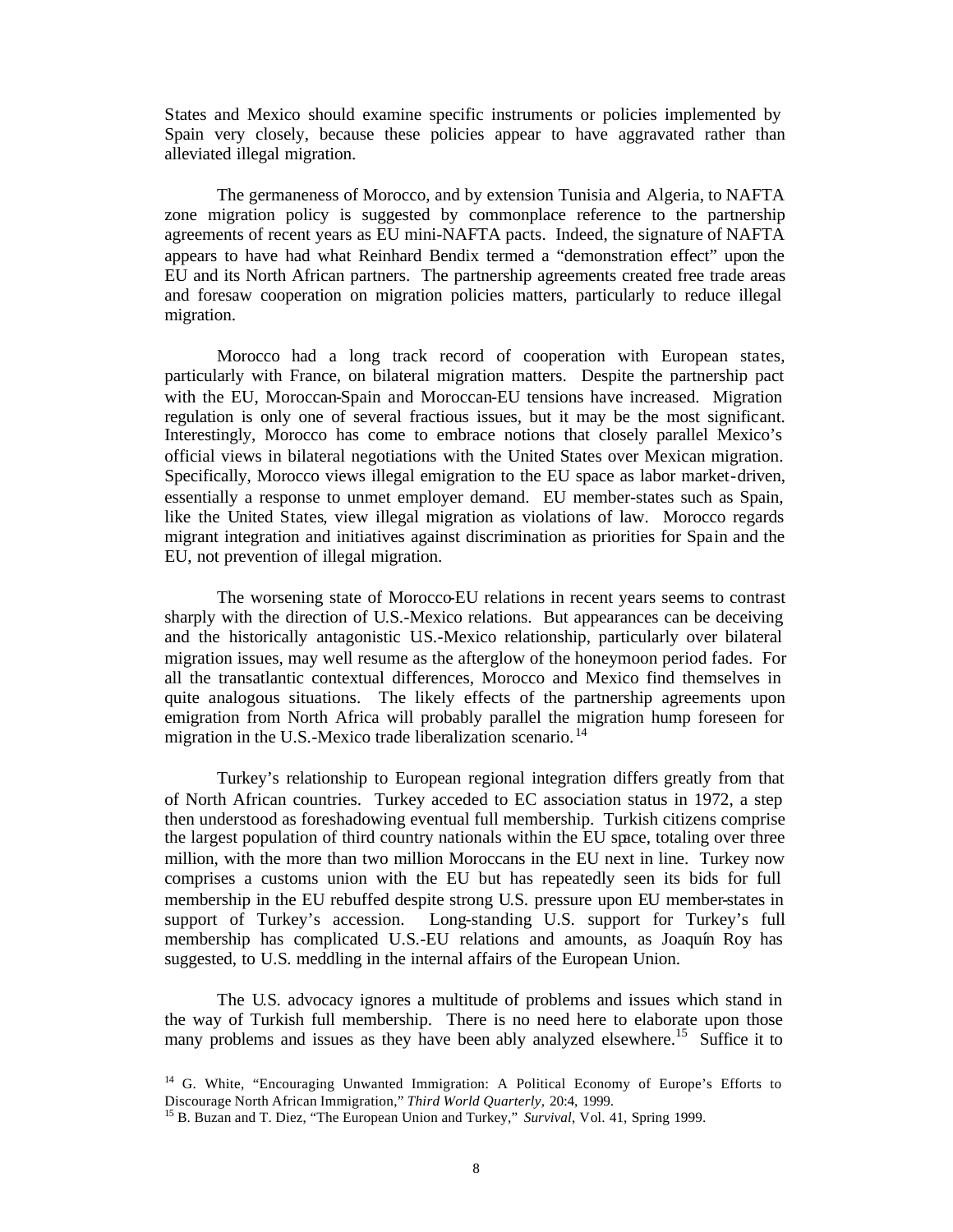States and Mexico should examine specific instruments or policies implemented by Spain very closely, because these policies appear to have aggravated rather than alleviated illegal migration.

The germaneness of Morocco, and by extension Tunisia and Algeria, to NAFTA zone migration policy is suggested by commonplace reference to the partnership agreements of recent years as EU mini-NAFTA pacts. Indeed, the signature of NAFTA appears to have had what Reinhard Bendix termed a "demonstration effect" upon the EU and its North African partners. The partnership agreements created free trade areas and foresaw cooperation on migration policies matters, particularly to reduce illegal migration.

Morocco had a long track record of cooperation with European states, particularly with France, on bilateral migration matters. Despite the partnership pact with the EU, Moroccan-Spain and Moroccan-EU tensions have increased. Migration regulation is only one of several fractious issues, but it may be the most significant. Interestingly, Morocco has come to embrace notions that closely parallel Mexico's official views in bilateral negotiations with the United States over Mexican migration. Specifically, Morocco views illegal emigration to the EU space as labor market-driven, essentially a response to unmet employer demand. EU member-states such as Spain, like the United States, view illegal migration as violations of law. Morocco regards migrant integration and initiatives against discrimination as priorities for Spain and the EU, not prevention of illegal migration.

The worsening state of Morocco-EU relations in recent years seems to contrast sharply with the direction of U.S.-Mexico relations. But appearances can be deceiving and the historically antagonistic U.S.-Mexico relationship, particularly over bilateral migration issues, may well resume as the afterglow of the honeymoon period fades. For all the transatlantic contextual differences, Morocco and Mexico find themselves in quite analogous situations. The likely effects of the partnership agreements upon emigration from North Africa will probably parallel the migration hump foreseen for migration in the U.S.-Mexico trade liberalization scenario.<sup>14</sup>

Turkey's relationship to European regional integration differs greatly from that of North African countries. Turkey acceded to EC association status in 1972, a step then understood as foreshadowing eventual full membership. Turkish citizens comprise the largest population of third country nationals within the EU space, totaling over three million, with the more than two million Moroccans in the EU next in line. Turkey now comprises a customs union with the EU but has repeatedly seen its bids for full membership in the EU rebuffed despite strong U.S. pressure upon EU member-states in support of Turkey's accession. Long-standing U.S. support for Turkey's full membership has complicated U.S.-EU relations and amounts, as Joaquín Roy has suggested, to U.S. meddling in the internal affairs of the European Union.

The U.S. advocacy ignores a multitude of problems and issues which stand in the way of Turkish full membership. There is no need here to elaborate upon those many problems and issues as they have been ably analyzed elsewhere.<sup>15</sup> Suffice it to

<sup>&</sup>lt;sup>14</sup> G. White, "Encouraging Unwanted Immigration: A Political Economy of Europe's Efforts to Discourage North African Immigration," *Third World Quarterly,* 20:4, 1999.

<sup>15</sup> B. Buzan and T. Diez, "The European Union and Turkey," *Survival*, Vol. 41, Spring 1999.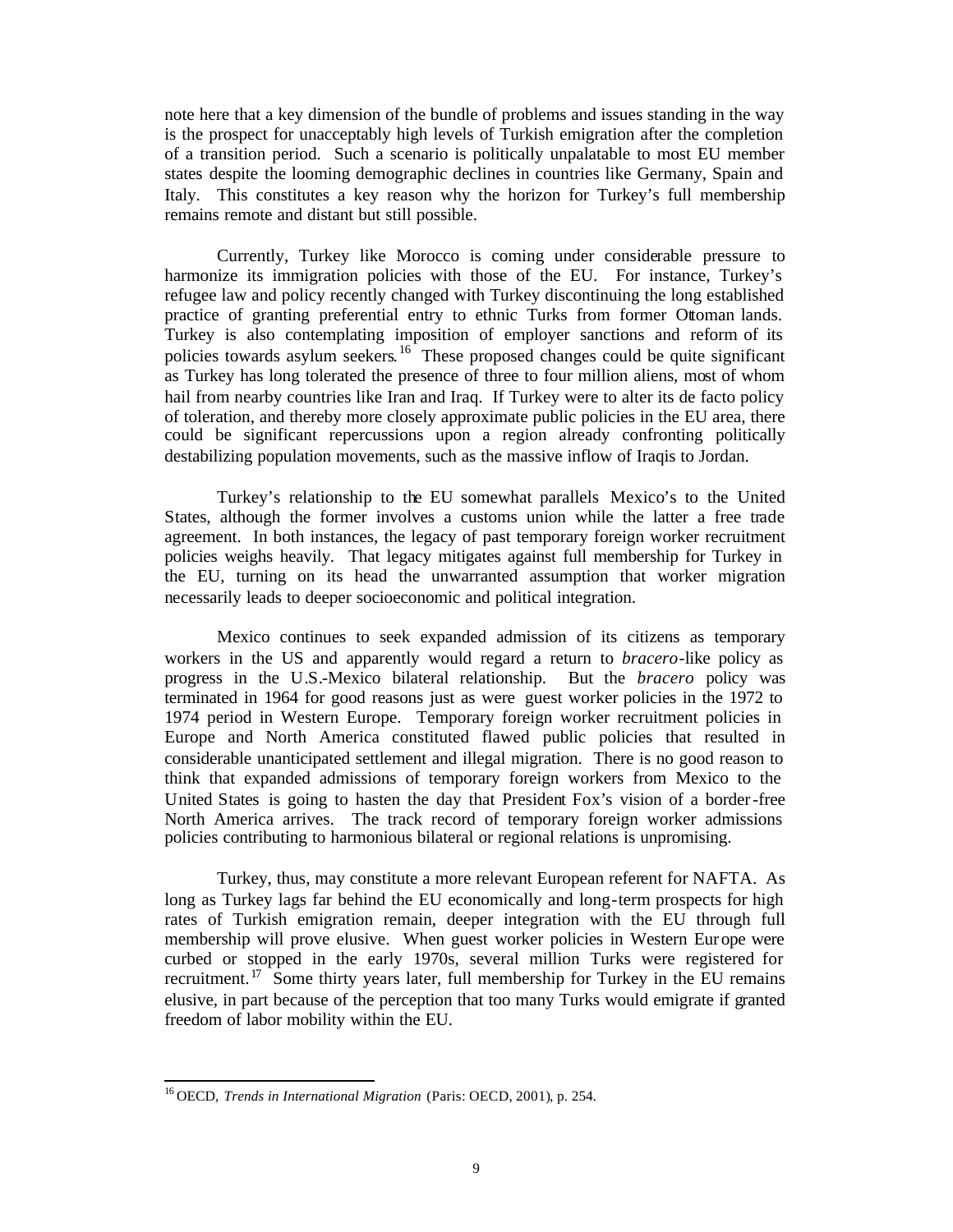note here that a key dimension of the bundle of problems and issues standing in the way is the prospect for unacceptably high levels of Turkish emigration after the completion of a transition period. Such a scenario is politically unpalatable to most EU member states despite the looming demographic declines in countries like Germany, Spain and Italy. This constitutes a key reason why the horizon for Turkey's full membership remains remote and distant but still possible.

Currently, Turkey like Morocco is coming under considerable pressure to harmonize its immigration policies with those of the EU. For instance, Turkey's refugee law and policy recently changed with Turkey discontinuing the long established practice of granting preferential entry to ethnic Turks from former Ottoman lands. Turkey is also contemplating imposition of employer sanctions and reform of its policies towards asylum seekers.<sup>16</sup> These proposed changes could be quite significant as Turkey has long tolerated the presence of three to four million aliens, most of whom hail from nearby countries like Iran and Iraq. If Turkey were to alter its de facto policy of toleration, and thereby more closely approximate public policies in the EU area, there could be significant repercussions upon a region already confronting politically destabilizing population movements, such as the massive inflow of Iraqis to Jordan.

Turkey's relationship to the EU somewhat parallels Mexico's to the United States, although the former involves a customs union while the latter a free trade agreement. In both instances, the legacy of past temporary foreign worker recruitment policies weighs heavily. That legacy mitigates against full membership for Turkey in the EU, turning on its head the unwarranted assumption that worker migration necessarily leads to deeper socioeconomic and political integration.

Mexico continues to seek expanded admission of its citizens as temporary workers in the US and apparently would regard a return to *bracero*-like policy as progress in the U.S.-Mexico bilateral relationship. But the *bracero* policy was terminated in 1964 for good reasons just as were guest worker policies in the 1972 to 1974 period in Western Europe. Temporary foreign worker recruitment policies in Europe and North America constituted flawed public policies that resulted in considerable unanticipated settlement and illegal migration. There is no good reason to think that expanded admissions of temporary foreign workers from Mexico to the United States is going to hasten the day that President Fox's vision of a border-free North America arrives. The track record of temporary foreign worker admissions policies contributing to harmonious bilateral or regional relations is unpromising.

Turkey, thus, may constitute a more relevant European referent for NAFTA. As long as Turkey lags far behind the EU economically and long-term prospects for high rates of Turkish emigration remain, deeper integration with the EU through full membership will prove elusive. When guest worker policies in Western Europe were curbed or stopped in the early 1970s, several million Turks were registered for recruitment.<sup>17</sup> Some thirty years later, full membership for Turkey in the EU remains elusive, in part because of the perception that too many Turks would emigrate if granted freedom of labor mobility within the EU.

<sup>16</sup> OECD, *Trends in International Migration* (Paris: OECD, 2001), p. 254.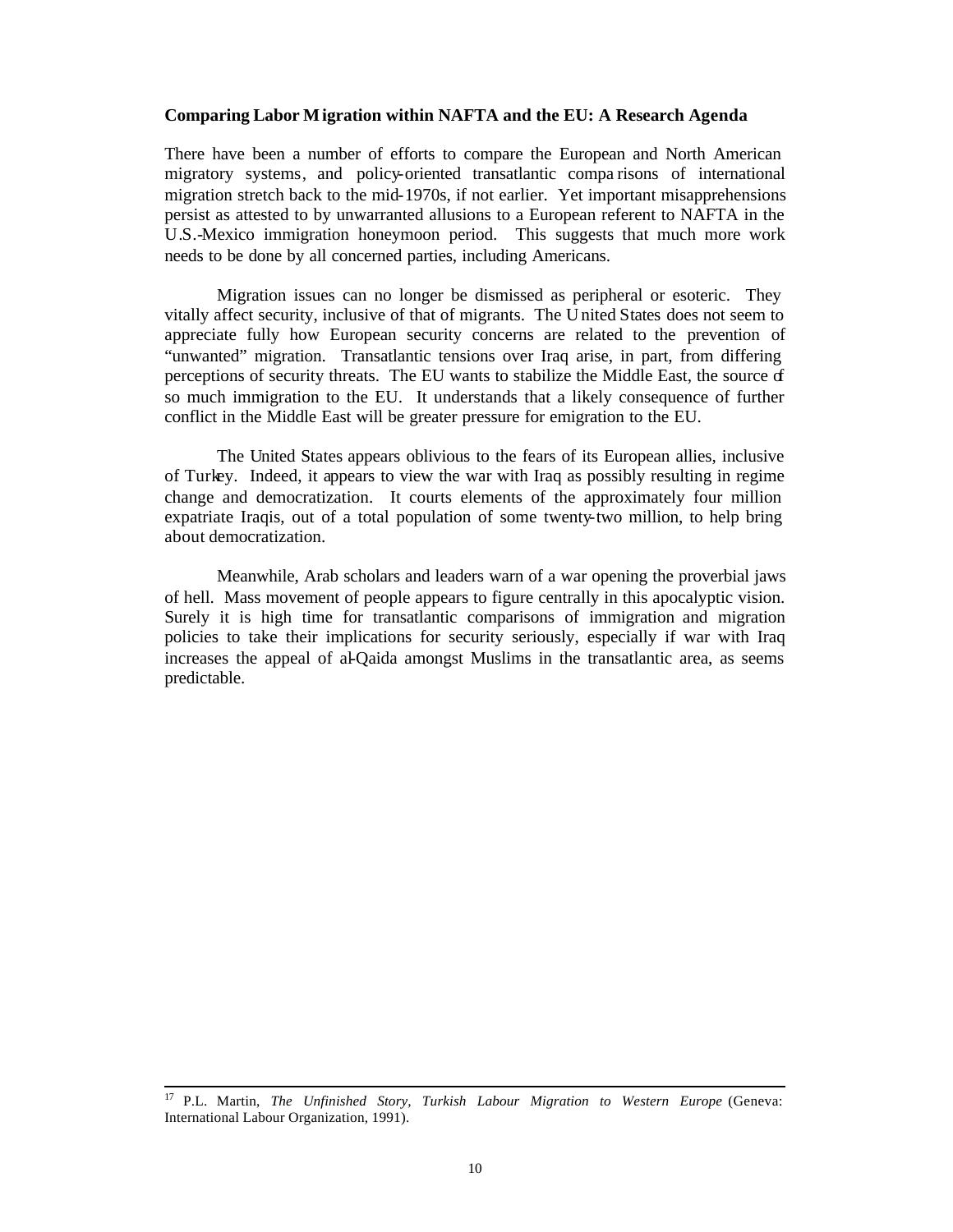### **Comparing Labor Migration within NAFTA and the EU: A Research Agenda**

There have been a number of efforts to compare the European and North American migratory systems, and policy-oriented transatlantic compa risons of international migration stretch back to the mid-1970s, if not earlier. Yet important misapprehensions persist as attested to by unwarranted allusions to a European referent to NAFTA in the U.S.-Mexico immigration honeymoon period. This suggests that much more work needs to be done by all concerned parties, including Americans.

Migration issues can no longer be dismissed as peripheral or esoteric. They vitally affect security, inclusive of that of migrants. The United States does not seem to appreciate fully how European security concerns are related to the prevention of "unwanted" migration. Transatlantic tensions over Iraq arise, in part, from differing perceptions of security threats. The EU wants to stabilize the Middle East, the source of so much immigration to the EU. It understands that a likely consequence of further conflict in the Middle East will be greater pressure for emigration to the EU.

The United States appears oblivious to the fears of its European allies, inclusive of Turkey. Indeed, it appears to view the war with Iraq as possibly resulting in regime change and democratization. It courts elements of the approximately four million expatriate Iraqis, out of a total population of some twenty-two million, to help bring about democratization.

Meanwhile, Arab scholars and leaders warn of a war opening the proverbial jaws of hell. Mass movement of people appears to figure centrally in this apocalyptic vision. Surely it is high time for transatlantic comparisons of immigration and migration policies to take their implications for security seriously, especially if war with Iraq increases the appeal of al-Qaida amongst Muslims in the transatlantic area, as seems predictable.

<sup>17</sup> P.L. Martin, *The Unfinished Story, Turkish Labour Migration to Western Europe* (Geneva: International Labour Organization, 1991).